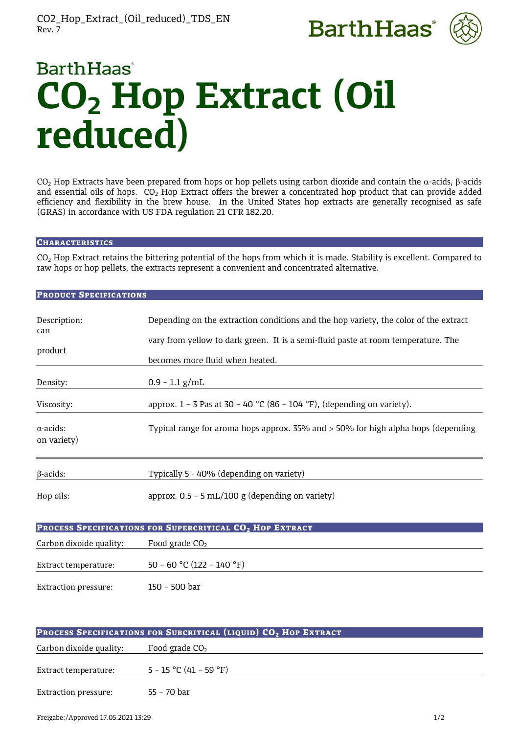



# **BarthHaas CO2 Hop Extract (Oil reduced)**

CO<sub>2</sub> Hop Extracts have been prepared from hops or hop pellets using carbon dioxide and contain the  $\alpha$ -acids,  $\beta$ -acids and essential oils of hops.  $CO<sub>2</sub>$  Hop Extract offers the brewer a concentrated hop product that can provide added efficiency and flexibility in the brew house. In the United States hop extracts are generally recognised as safe (GRAS) in accordance with US FDA regulation 21 CFR 182.20.

### **CHARACTERISTICS**

CO<sub>2</sub> Hop Extract retains the bittering potential of the hops from which it is made. Stability is excellent. Compared to raw hops or hop pellets, the extracts represent a convenient and concentrated alternative.

#### PRODUCT SPECIFICATIONS

| Description:<br>can<br>product  | Depending on the extraction conditions and the hop variety, the color of the extract<br>vary from yellow to dark green. It is a semi-fluid paste at room temperature. The<br>becomes more fluid when heated. |
|---------------------------------|--------------------------------------------------------------------------------------------------------------------------------------------------------------------------------------------------------------|
| Density:                        | $0.9 - 1.1$ g/mL                                                                                                                                                                                             |
| Viscosity:                      | approx. $1 - 3$ Pas at 30 - 40 °C (86 - 104 °F), (depending on variety).                                                                                                                                     |
| $\alpha$ -acids:<br>on variety) | Typical range for aroma hops approx. $35\%$ and $> 50\%$ for high alpha hops (depending                                                                                                                      |
| $\beta$ -acids:                 | Typically 5 - 40% (depending on variety)                                                                                                                                                                     |
| Hop oils:                       | approx. $0.5 - 5$ mL/100 g (depending on variety)                                                                                                                                                            |
|                                 | PROCESS SPECIFICATIONS FOR SUPERCRITICAL CO <sub>2</sub> HOP EXTRACT                                                                                                                                         |
| Carbon dixoide quality:         | Food grade $CO2$                                                                                                                                                                                             |
| Extract temperature:            | 50 - 60 °C (122 - 140 °F)                                                                                                                                                                                    |
| <b>Extraction pressure:</b>     | 150 - 500 bar                                                                                                                                                                                                |

| PROCESS SPECIFICATIONS FOR SUBCRITICAL (LIQUID) CO <sub>2</sub> HOP EXTRACT |                          |  |
|-----------------------------------------------------------------------------|--------------------------|--|
| Carbon dixoide quality:                                                     | Food grade $CO2$         |  |
| Extract temperature:                                                        | $5 - 15$ °C (41 – 59 °F) |  |
| Extraction pressure:                                                        | 55 - 70 bar              |  |